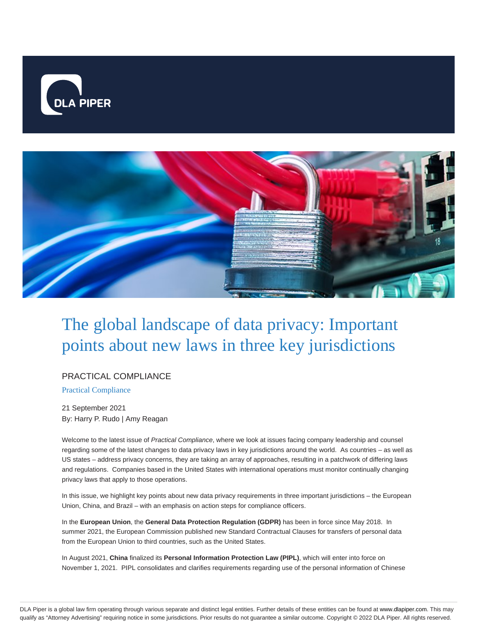



# The global landscape of data privacy: Important points about new laws in three key jurisdictions

#### PRACTICAL COMPLIANCE

Practical Compliance

21 September 2021 By: Harry P. Rudo | Amy Reagan

Welcome to the latest issue of Practical Compliance, where we look at issues facing company leadership and counsel regarding some of the latest changes to data privacy laws in key jurisdictions around the world. As countries – as well as US states – address privacy concerns, they are taking an array of approaches, resulting in a patchwork of differing laws and regulations. Companies based in the United States with international operations must monitor continually changing privacy laws that apply to those operations.

In this issue, we highlight key points about new data privacy requirements in three important jurisdictions – the European Union, China, and Brazil – with an emphasis on action steps for compliance officers.

In the **European Union**, the **General Data Protection Regulation (GDPR)** has been in force since May 2018. In summer 2021, the European Commission published new Standard Contractual Clauses for transfers of personal data from the European Union to third countries, such as the United States.

In August 2021, **China** finalized its **Personal Information Protection Law (PIPL)**, which will enter into force on November 1, 2021. PIPL consolidates and clarifies requirements regarding use of the personal information of Chinese

DLA Piper is a global law firm operating through various separate and distinct legal entities. Further details of these entities can be found at www.dlapiper.com. This may qualify as "Attorney Advertising" requiring notice in some jurisdictions. Prior results do not guarantee a similar outcome. Copyright © 2022 DLA Piper. All rights reserved.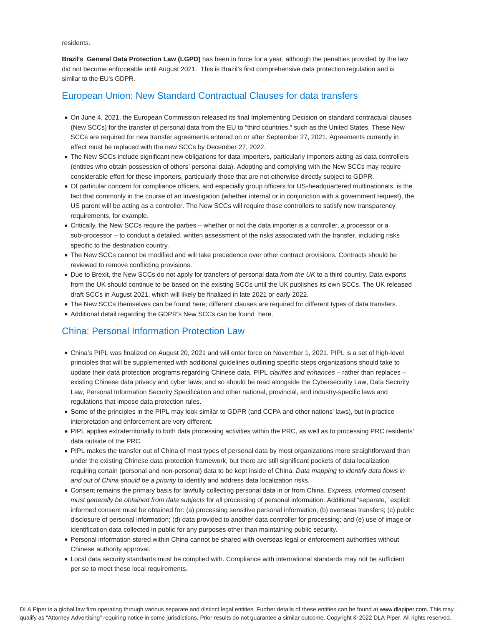residents.

**Brazil's General Data Protection Law (LGPD)** has been in force for a year, although the penalties provided by the law did not become enforceable until August 2021. This is Brazil's first comprehensive data protection regulation and is similar to the EU's GDPR.

## European Union: New Standard Contractual Clauses for data transfers

- On June 4, 2021, the European Commission released its final Implementing Decision on standard contractual clauses (New SCCs) for the transfer of personal data from the EU to "third countries," such as the United States. These New SCCs are required for new transfer agreements entered on or after September 27, 2021. Agreements currently in effect must be replaced with the new SCCs by December 27, 2022.
- The New SCCs include significant new obligations for data importers, particularly importers acting as data controllers (entities who obtain possession of others' personal data). Adopting and complying with the New SCCs may require considerable effort for these importers, particularly those that are not otherwise directly subject to GDPR.
- Of particular concern for compliance officers, and especially group officers for US‑headquartered multinationals, is the fact that commonly in the course of an investigation (whether internal or in conjunction with a government request), the US parent will be acting as a controller. The New SCCs will require those controllers to satisfy new transparency requirements, for example.
- Critically, the New SCCs require the parties whether or not the data importer is a controller, a processor or a sub-processor – to conduct a detailed, written assessment of the risks associated with the transfer, including risks specific to the destination country.
- The New SCCs cannot be modified and will take precedence over other contract provisions. Contracts should be reviewed to remove conflicting provisions.
- Due to Brexit, the New SCCs do not apply for transfers of personal data from the UK to a third country. Data exports from the UK should continue to be based on the existing SCCs until the UK publishes its own SCCs. The UK released draft SCCs in August 2021, which will likely be finalized in late 2021 or early 2022.
- The New SCCs themselves can be found here; different clauses are required for different types of data transfers.
- Additional detail regarding the GDPR's New SCCs can be found here.

## China: Personal Information Protection Law

- China's PIPL was finalized on August 20, 2021 and will enter force on November 1, 2021. PIPL is a set of high-level principles that will be supplemented with additional guidelines outlining specific steps organizations should take to update their data protection programs regarding Chinese data. PIPL clarifies and enhances – rather than replaces – existing Chinese data privacy and cyber laws, and so should be read alongside the Cybersecurity Law, Data Security Law, Personal Information Security Specification and other national, provincial, and industry-specific laws and regulations that impose data protection rules.
- Some of the principles in the PIPL may look similar to GDPR (and CCPA and other nations' laws), but in practice interpretation and enforcement are very different.
- PIPL applies extraterritorially to both data processing activities within the PRC, as well as to processing PRC residents' data outside of the PRC.
- PIPL makes the transfer out of China of most types of personal data by most organizations more straightforward than under the existing Chinese data protection framework, but there are still significant pockets of data localization requiring certain (personal and non-personal) data to be kept inside of China. Data mapping to identify data flows in and out of China should be a priority to identify and address data localization risks.
- Consent remains the primary basis for lawfully collecting personal data in or from China. Express, informed consent must generally be obtained from data subjects for all processing of personal information. Additional "separate," explicit informed consent must be obtained for: (a) processing sensitive personal information; (b) overseas transfers; (c) public disclosure of personal information; (d) data provided to another data controller for processing; and (e) use of image or identification data collected in public for any purposes other than maintaining public security.
- Personal information stored within China cannot be shared with overseas legal or enforcement authorities without Chinese authority approval.
- Local data security standards must be complied with. Compliance with international standards may not be sufficient per se to meet these local requirements.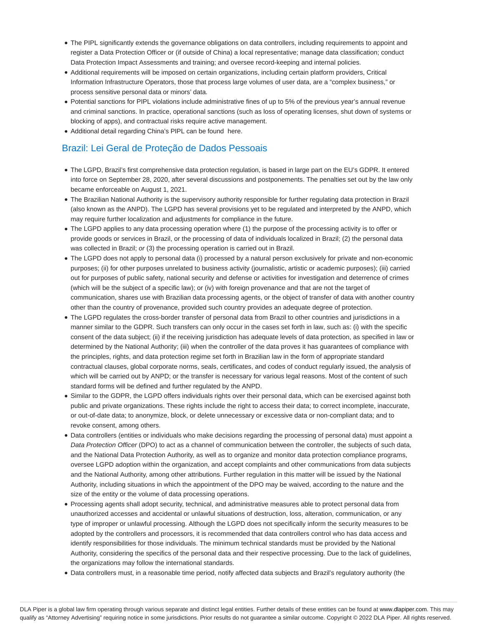- The PIPL significantly extends the governance obligations on data controllers, including requirements to appoint and register a Data Protection Officer or (if outside of China) a local representative; manage data classification; conduct Data Protection Impact Assessments and training; and oversee record-keeping and internal policies.
- Additional requirements will be imposed on certain organizations, including certain platform providers, Critical Information Infrastructure Operators, those that process large volumes of user data, are a "complex business," or process sensitive personal data or minors' data.
- Potential sanctions for PIPL violations include administrative fines of up to 5% of the previous year's annual revenue and criminal sanctions. In practice, operational sanctions (such as loss of operating licenses, shut down of systems or blocking of apps), and contractual risks require active management.
- Additional detail regarding China's PIPL can be found here.

## Brazil: Lei Geral de Proteção de Dados Pessoais

- The LGPD, Brazil's first comprehensive data protection regulation, is based in large part on the EU's GDPR. It entered into force on September 28, 2020, after several discussions and postponements. The penalties set out by the law only became enforceable on August 1, 2021.
- The Brazilian National Authority is the supervisory authority responsible for further regulating data protection in Brazil (also known as the ANPD). The LGPD has several provisions yet to be regulated and interpreted by the ANPD, which may require further localization and adjustments for compliance in the future.
- The LGPD applies to any data processing operation where (1) the purpose of the processing activity is to offer or provide goods or services in Brazil, or the processing of data of individuals localized in Brazil; (2) the personal data was collected in Brazil; or (3) the processing operation is carried out in Brazil.
- The LGPD does not apply to personal data (i) processed by a natural person exclusively for private and non-economic purposes; (ii) for other purposes unrelated to business activity (journalistic, artistic or academic purposes); (iii) carried out for purposes of public safety, national security and defense or activities for investigation and deterrence of crimes (which will be the subject of a specific law); or (iv) with foreign provenance and that are not the target of communication, shares use with Brazilian data processing agents, or the object of transfer of data with another country other than the country of provenance, provided such country provides an adequate degree of protection.
- The LGPD regulates the cross-border transfer of personal data from Brazil to other countries and jurisdictions in a manner similar to the GDPR. Such transfers can only occur in the cases set forth in law, such as: (i) with the specific consent of the data subject; (ii) if the receiving jurisdiction has adequate levels of data protection, as specified in law or determined by the National Authority; (iii) when the controller of the data proves it has guarantees of compliance with the principles, rights, and data protection regime set forth in Brazilian law in the form of appropriate standard contractual clauses, global corporate norms, seals, certificates, and codes of conduct regularly issued, the analysis of which will be carried out by ANPD; or the transfer is necessary for various legal reasons. Most of the content of such standard forms will be defined and further regulated by the ANPD.
- Similar to the GDPR, the LGPD offers individuals rights over their personal data, which can be exercised against both public and private organizations. These rights include the right to access their data; to correct incomplete, inaccurate, or out-of-date data; to anonymize, block, or delete unnecessary or excessive data or non-compliant data; and to revoke consent, among others.
- Data controllers (entities or individuals who make decisions regarding the processing of personal data) must appoint a Data Protection Officer (DPO) to act as a channel of communication between the controller, the subjects of such data, and the National Data Protection Authority, as well as to organize and monitor data protection compliance programs, oversee LGPD adoption within the organization, and accept complaints and other communications from data subjects and the National Authority, among other attributions. Further regulation in this matter will be issued by the National Authority, including situations in which the appointment of the DPO may be waived, according to the nature and the size of the entity or the volume of data processing operations.
- Processing agents shall adopt security, technical, and administrative measures able to protect personal data from unauthorized accesses and accidental or unlawful situations of destruction, loss, alteration, communication, or any type of improper or unlawful processing. Although the LGPD does not specifically inform the security measures to be adopted by the controllers and processors, it is recommended that data controllers control who has data access and identify responsibilities for those individuals. The minimum technical standards must be provided by the National Authority, considering the specifics of the personal data and their respective processing. Due to the lack of guidelines, the organizations may follow the international standards.
- Data controllers must, in a reasonable time period, notify affected data subjects and Brazil's regulatory authority (the